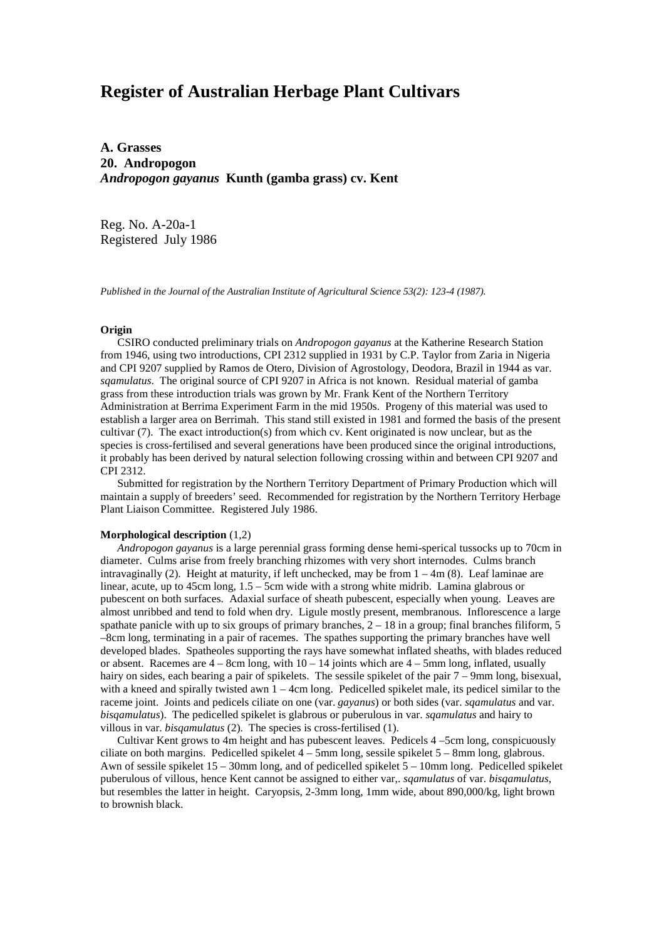# **Register of Australian Herbage Plant Cultivars**

**A. Grasses 20. Andropogon** *Andropogon gayanus* **Kunth (gamba grass) cv. Kent**

Reg. No. A-20a-1 Registered July 1986

*Published in the Journal of the Australian Institute of Agricultural Science 53(2): 123-4 (1987).*

## **Origin**

 CSIRO conducted preliminary trials on *Andropogon gayanus* at the Katherine Research Station from 1946, using two introductions, CPI 2312 supplied in 1931 by C.P. Taylor from Zaria in Nigeria and CPI 9207 supplied by Ramos de Otero, Division of Agrostology, Deodora, Brazil in 1944 as var. *sqamulatus*. The original source of CPI 9207 in Africa is not known. Residual material of gamba grass from these introduction trials was grown by Mr. Frank Kent of the Northern Territory Administration at Berrima Experiment Farm in the mid 1950s. Progeny of this material was used to establish a larger area on Berrimah. This stand still existed in 1981 and formed the basis of the present cultivar (7). The exact introduction(s) from which cv. Kent originated is now unclear, but as the species is cross-fertilised and several generations have been produced since the original introductions, it probably has been derived by natural selection following crossing within and between CPI 9207 and CPI 2312.

 Submitted for registration by the Northern Territory Department of Primary Production which will maintain a supply of breeders' seed. Recommended for registration by the Northern Territory Herbage Plant Liaison Committee. Registered July 1986.

### **Morphological description** (1,2)

 *Andropogon gayanus* is a large perennial grass forming dense hemi-sperical tussocks up to 70cm in diameter. Culms arise from freely branching rhizomes with very short internodes. Culms branch intravaginally (2). Height at maturity, if left unchecked, may be from  $1 - 4m$  (8). Leaf laminae are linear, acute, up to 45cm long, 1.5 – 5cm wide with a strong white midrib. Lamina glabrous or pubescent on both surfaces. Adaxial surface of sheath pubescent, especially when young. Leaves are almost unribbed and tend to fold when dry. Ligule mostly present, membranous. Inflorescence a large spathate panicle with up to six groups of primary branches,  $2 - 18$  in a group; final branches filiform, 5 –8cm long, terminating in a pair of racemes. The spathes supporting the primary branches have well developed blades. Spatheoles supporting the rays have somewhat inflated sheaths, with blades reduced or absent. Racemes are  $4 - 8$ cm long, with  $10 - 14$  joints which are  $4 - 5$ mm long, inflated, usually hairy on sides, each bearing a pair of spikelets. The sessile spikelet of the pair 7 – 9mm long, bisexual, with a kneed and spirally twisted awn  $1 - 4$ cm long. Pedicelled spikelet male, its pedicel similar to the raceme joint. Joints and pedicels ciliate on one (var. *gayanus*) or both sides (var. *sqamulatus* and var. *bisqamulatus*). The pedicelled spikelet is glabrous or puberulous in var. *sqamulatus* and hairy to villous in var. *bisqamulatus* (2). The species is cross-fertilised (1).

 Cultivar Kent grows to 4m height and has pubescent leaves. Pedicels 4 –5cm long, conspicuously ciliate on both margins. Pedicelled spikelet  $4 - 5$ mm long, sessile spikelet  $5 - 8$ mm long, glabrous. Awn of sessile spikelet 15 – 30mm long, and of pedicelled spikelet 5 – 10mm long. Pedicelled spikelet puberulous of villous, hence Kent cannot be assigned to either var,. *sqamulatus* of var. *bisqamulatus*, but resembles the latter in height. Caryopsis, 2-3mm long, 1mm wide, about 890,000/kg, light brown to brownish black.